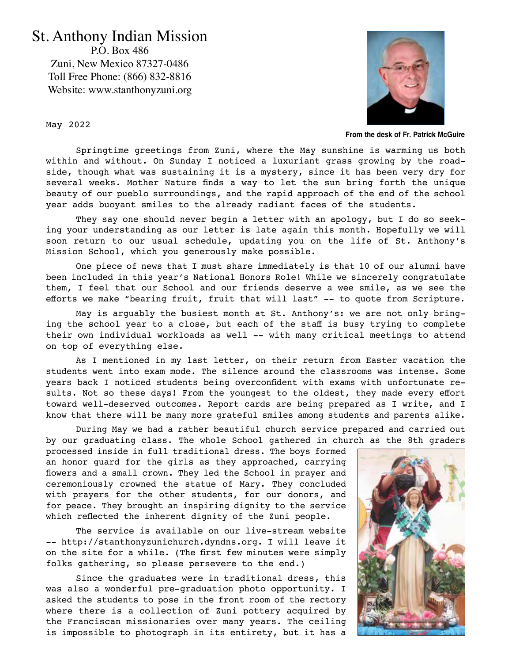## St. Anthony Indian Mission

P.O. Box 486 Zuni, New Mexico 87327-0486 Toll Free Phone: (866) 832-8816 Website: www.stanthonyzuni.org



**From the desk of Fr. Patrick McGuire**

May 2022

Springtime greetings from Zuni, where the May sunshine is warming us both within and without. On Sunday I noticed a luxuriant grass growing by the roadside, though what was sustaining it is a mystery, since it has been very dry for several weeks. Mother Nature finds a way to let the sun bring forth the unique beauty of our pueblo surroundings, and the rapid approach of the end of the school year adds buoyant smiles to the already radiant faces of the students.

They say one should never begin a letter with an apology, but I do so seeking your understanding as our letter is late again this month. Hopefully we will soon return to our usual schedule, updating you on the life of St. Anthony's Mission School, which you generously make possible.

One piece of news that I must share immediately is that 10 of our alumni have been included in this year's National Honors Role! While we sincerely congratulate them, I feel that our School and our friends deserve a wee smile, as we see the efforts we make "bearing fruit, fruit that will last" -- to quote from Scripture.

May is arguably the busiest month at St. Anthony's: we are not only bringing the school year to a close, but each of the staff is busy trying to complete their own individual workloads as well -- with many critical meetings to attend on top of everything else.

As I mentioned in my last letter, on their return from Easter vacation the students went into exam mode. The silence around the classrooms was intense. Some years back I noticed students being overconfident with exams with unfortunate results. Not so these days! From the youngest to the oldest, they made every effort toward well-deserved outcomes. Report cards are being prepared as I write, and I know that there will be many more grateful smiles among students and parents alike.

During May we had a rather beautiful church service prepared and carried out by our graduating class. The whole School gathered in church as the 8th graders

processed inside in full traditional dress. The boys formed an honor guard for the girls as they approached, carrying flowers and a small crown. They led the School in prayer and ceremoniously crowned the statue of Mary. They concluded with prayers for the other students, for our donors, and for peace. They brought an inspiring dignity to the service which reflected the inherent dignity of the Zuni people.

The service is available on our live-stream website -- http://stanthonyzunichurch.dyndns.org. I will leave it on the site for a while. (The first few minutes were simply folks gathering, so please persevere to the end.)

Since the graduates were in traditional dress, this was also a wonderful pre-graduation photo opportunity. I asked the students to pose in the front room of the rectory where there is a collection of Zuni pottery acquired by the Franciscan missionaries over many years. The ceiling is impossible to photograph in its entirety, but it has a